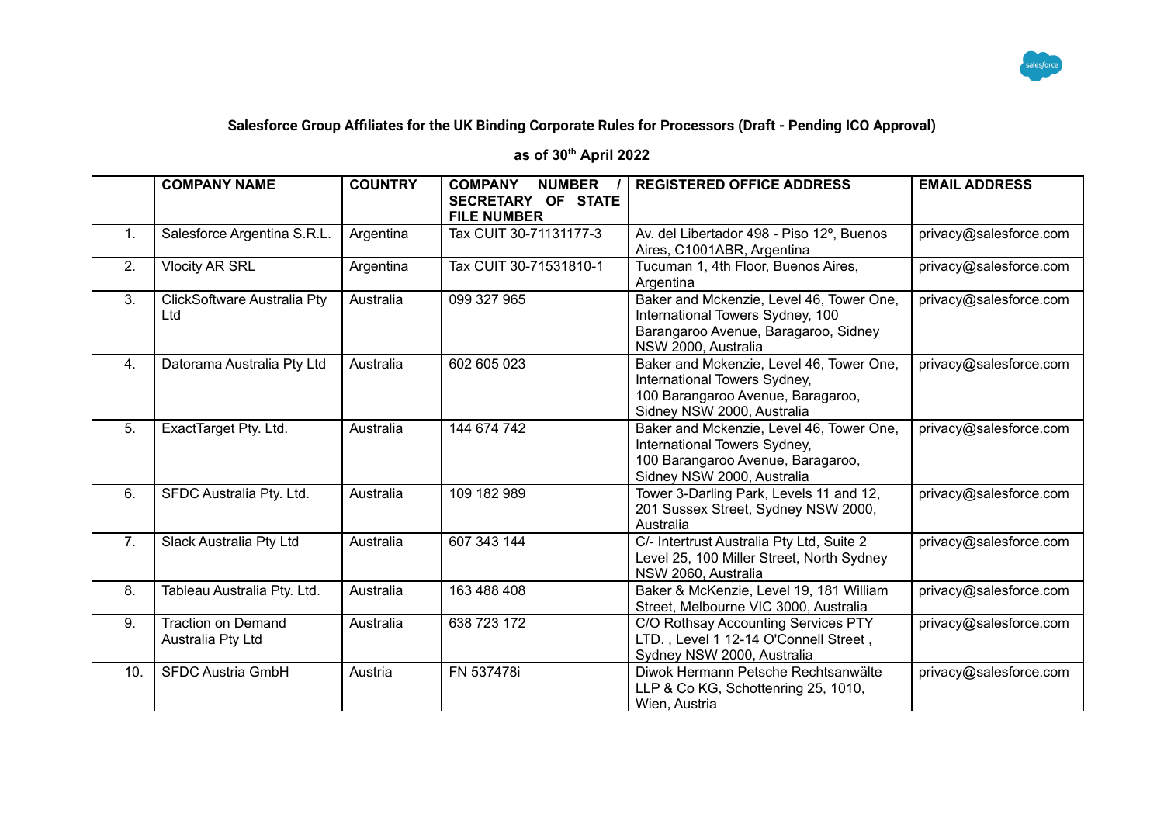

## **Salesforce Group Affiliates for the UK Binding Corporate Rules for Processors (Draft - Pending ICO Approval)**

## **as of 30th April 2022**

|                | <b>COMPANY NAME</b>                            | <b>COUNTRY</b> | <b>COMPANY</b><br><b>NUMBER</b><br>SECRETARY OF STATE<br><b>FILE NUMBER</b> | <b>REGISTERED OFFICE ADDRESS</b>                                                                                                            | <b>EMAIL ADDRESS</b>   |
|----------------|------------------------------------------------|----------------|-----------------------------------------------------------------------------|---------------------------------------------------------------------------------------------------------------------------------------------|------------------------|
| $\mathbf{1}$ . | Salesforce Argentina S.R.L.                    | Argentina      | Tax CUIT 30-71131177-3                                                      | Av. del Libertador 498 - Piso 12°, Buenos<br>Aires, C1001ABR, Argentina                                                                     | privacy@salesforce.com |
| 2.             | <b>Vlocity AR SRL</b>                          | Argentina      | Tax CUIT 30-71531810-1                                                      | Tucuman 1, 4th Floor, Buenos Aires,<br>Argentina                                                                                            | privacy@salesforce.com |
| 3.             | ClickSoftware Australia Pty<br>Ltd             | Australia      | 099 327 965                                                                 | Baker and Mckenzie, Level 46, Tower One,<br>International Towers Sydney, 100<br>Barangaroo Avenue, Baragaroo, Sidney<br>NSW 2000, Australia | privacy@salesforce.com |
| 4.             | Datorama Australia Pty Ltd                     | Australia      | 602 605 023                                                                 | Baker and Mckenzie, Level 46, Tower One,<br>International Towers Sydney,<br>100 Barangaroo Avenue, Baragaroo,<br>Sidney NSW 2000, Australia | privacy@salesforce.com |
| 5.             | ExactTarget Pty. Ltd.                          | Australia      | 144 674 742                                                                 | Baker and Mckenzie, Level 46, Tower One,<br>International Towers Sydney,<br>100 Barangaroo Avenue, Baragaroo,<br>Sidney NSW 2000, Australia | privacy@salesforce.com |
| 6.             | SFDC Australia Pty. Ltd.                       | Australia      | 109 182 989                                                                 | Tower 3-Darling Park, Levels 11 and 12,<br>201 Sussex Street, Sydney NSW 2000,<br>Australia                                                 | privacy@salesforce.com |
| 7 <sub>1</sub> | Slack Australia Pty Ltd                        | Australia      | 607 343 144                                                                 | C/- Intertrust Australia Pty Ltd, Suite 2<br>Level 25, 100 Miller Street, North Sydney<br>NSW 2060, Australia                               | privacy@salesforce.com |
| 8.             | Tableau Australia Pty. Ltd.                    | Australia      | 163 488 408                                                                 | Baker & McKenzie, Level 19, 181 William<br>Street, Melbourne VIC 3000, Australia                                                            | privacy@salesforce.com |
| 9.             | <b>Traction on Demand</b><br>Australia Pty Ltd | Australia      | 638 723 172                                                                 | C/O Rothsay Accounting Services PTY<br>LTD., Level 1 12-14 O'Connell Street,<br>Sydney NSW 2000, Australia                                  | privacy@salesforce.com |
| 10.            | <b>SFDC Austria GmbH</b>                       | Austria        | FN 537478i                                                                  | Diwok Hermann Petsche Rechtsanwälte<br>LLP & Co KG, Schottenring 25, 1010,<br>Wien, Austria                                                 | privacy@salesforce.com |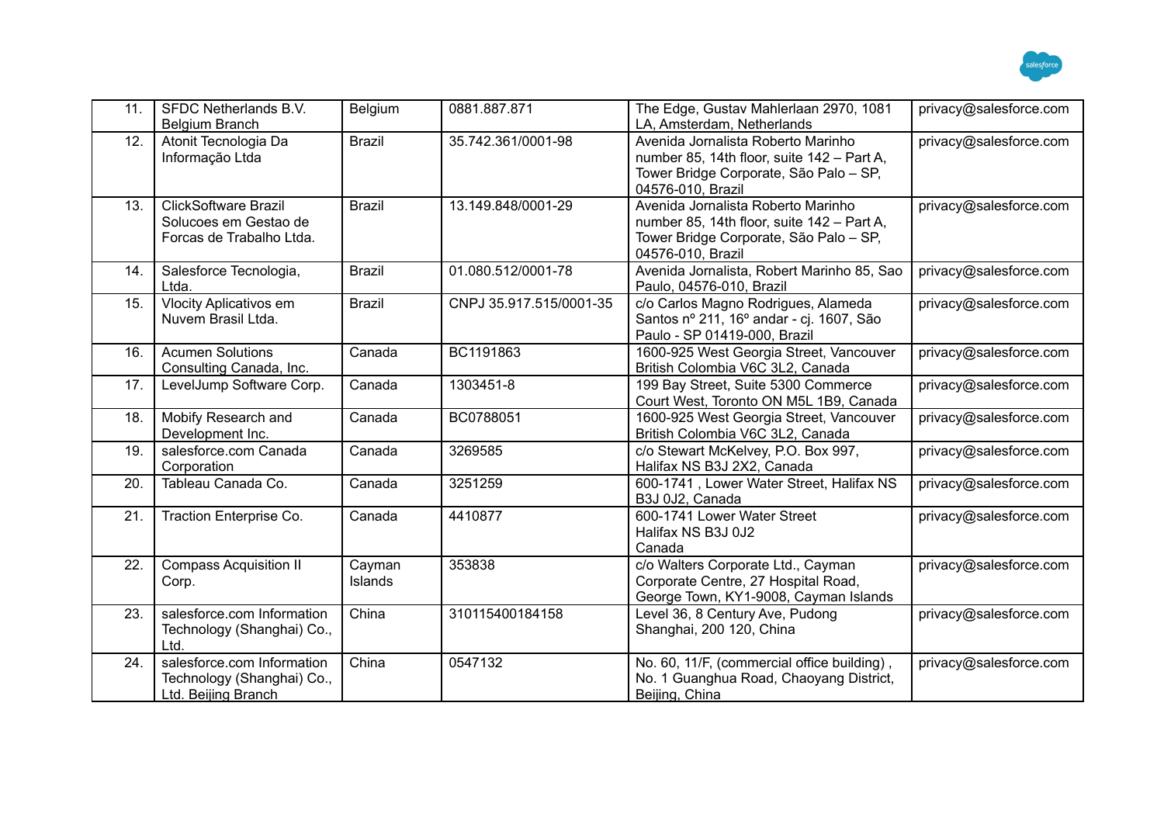

| 11. | SFDC Netherlands B.V.<br><b>Belgium Branch</b>                                   | Belgium           | 0881.887.871            | The Edge, Gustav Mahlerlaan 2970, 1081<br>LA, Amsterdam, Netherlands                                                                            | privacy@salesforce.com |
|-----|----------------------------------------------------------------------------------|-------------------|-------------------------|-------------------------------------------------------------------------------------------------------------------------------------------------|------------------------|
| 12. | Atonit Tecnologia Da<br>Informação Ltda                                          | <b>Brazil</b>     | 35.742.361/0001-98      | Avenida Jornalista Roberto Marinho<br>number 85, 14th floor, suite 142 - Part A,<br>Tower Bridge Corporate, São Palo - SP,<br>04576-010, Brazil | privacy@salesforce.com |
| 13. | <b>ClickSoftware Brazil</b><br>Solucoes em Gestao de<br>Forcas de Trabalho Ltda. | <b>Brazil</b>     | 13.149.848/0001-29      | Avenida Jornalista Roberto Marinho<br>number 85, 14th floor, suite 142 - Part A,<br>Tower Bridge Corporate, São Palo - SP,<br>04576-010, Brazil | privacy@salesforce.com |
| 14. | Salesforce Tecnologia,<br>Ltda.                                                  | <b>Brazil</b>     | 01.080.512/0001-78      | Avenida Jornalista, Robert Marinho 85, Sao<br>Paulo, 04576-010, Brazil                                                                          | privacy@salesforce.com |
| 15. | <b>Vlocity Aplicativos em</b><br>Nuvem Brasil Ltda.                              | <b>Brazil</b>     | CNPJ 35.917.515/0001-35 | c/o Carlos Magno Rodrigues, Alameda<br>Santos nº 211, 16º andar - cj. 1607, São<br>Paulo - SP 01419-000, Brazil                                 | privacy@salesforce.com |
| 16. | <b>Acumen Solutions</b><br>Consulting Canada, Inc.                               | Canada            | BC1191863               | 1600-925 West Georgia Street, Vancouver<br>British Colombia V6C 3L2, Canada                                                                     | privacy@salesforce.com |
| 17. | LevelJump Software Corp.                                                         | Canada            | 1303451-8               | 199 Bay Street, Suite 5300 Commerce<br>Court West, Toronto ON M5L 1B9, Canada                                                                   | privacy@salesforce.com |
| 18. | Mobify Research and<br>Development Inc.                                          | Canada            | BC0788051               | 1600-925 West Georgia Street, Vancouver<br>British Colombia V6C 3L2, Canada                                                                     | privacy@salesforce.com |
| 19. | salesforce.com Canada<br>Corporation                                             | Canada            | 3269585                 | c/o Stewart McKelvey, P.O. Box 997,<br>Halifax NS B3J 2X2, Canada                                                                               | privacy@salesforce.com |
| 20. | Tableau Canada Co.                                                               | Canada            | 3251259                 | 600-1741, Lower Water Street, Halifax NS<br>B3J 0J2, Canada                                                                                     | privacy@salesforce.com |
| 21. | Traction Enterprise Co.                                                          | Canada            | 4410877                 | 600-1741 Lower Water Street<br>Halifax NS B3J 0J2<br>Canada                                                                                     | privacy@salesforce.com |
| 22. | <b>Compass Acquisition II</b><br>Corp.                                           | Cayman<br>Islands | 353838                  | c/o Walters Corporate Ltd., Cayman<br>Corporate Centre, 27 Hospital Road,<br>George Town, KY1-9008, Cayman Islands                              | privacy@salesforce.com |
| 23. | salesforce.com Information<br>Technology (Shanghai) Co.,<br>Ltd.                 | China             | 310115400184158         | Level 36, 8 Century Ave, Pudong<br>Shanghai, 200 120, China                                                                                     | privacy@salesforce.com |
| 24. | salesforce.com Information<br>Technology (Shanghai) Co.,<br>Ltd. Beijing Branch  | China             | 0547132                 | No. 60, 11/F, (commercial office building),<br>No. 1 Guanghua Road, Chaoyang District,<br>Beijing, China                                        | privacy@salesforce.com |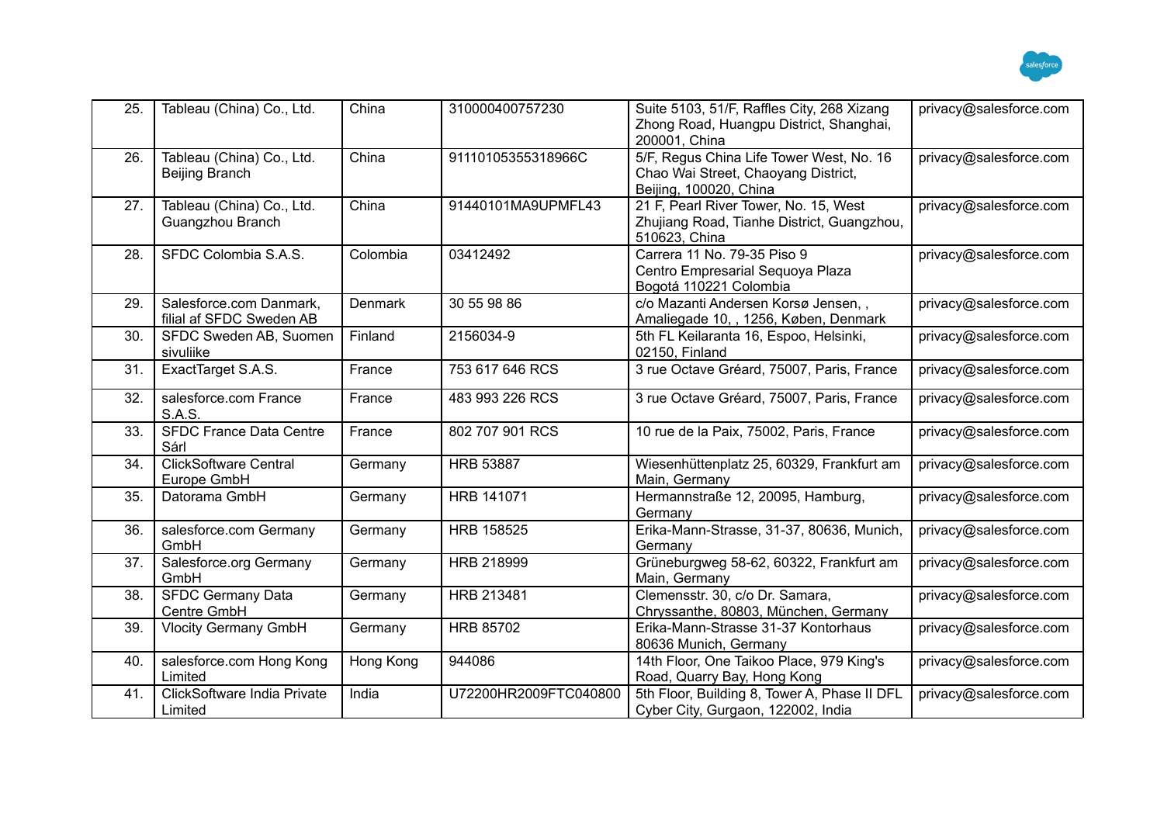

| 25. | Tableau (China) Co., Ltd.                           | China          | 310000400757230       | Suite 5103, 51/F, Raffles City, 268 Xizang<br>Zhong Road, Huangpu District, Shanghai,<br>200001, China    | privacy@salesforce.com |
|-----|-----------------------------------------------------|----------------|-----------------------|-----------------------------------------------------------------------------------------------------------|------------------------|
| 26. | Tableau (China) Co., Ltd.<br>Beijing Branch         | China          | 91110105355318966C    | 5/F, Regus China Life Tower West, No. 16<br>Chao Wai Street, Chaoyang District,<br>Beijing, 100020, China | privacy@salesforce.com |
| 27. | Tableau (China) Co., Ltd.<br>Guangzhou Branch       | China          | 91440101MA9UPMFL43    | 21 F, Pearl River Tower, No. 15, West<br>Zhujiang Road, Tianhe District, Guangzhou,<br>510623, China      | privacy@salesforce.com |
| 28. | SFDC Colombia S.A.S.                                | Colombia       | 03412492              | Carrera 11 No. 79-35 Piso 9<br>Centro Empresarial Sequoya Plaza<br>Bogotá 110221 Colombia                 | privacy@salesforce.com |
| 29. | Salesforce.com Danmark,<br>filial af SFDC Sweden AB | <b>Denmark</b> | 30 55 98 86           | c/o Mazanti Andersen Korsø Jensen,,<br>Amaliegade 10, , 1256, Køben, Denmark                              | privacy@salesforce.com |
| 30. | SFDC Sweden AB, Suomen<br>sivuliike                 | Finland        | 2156034-9             | 5th FL Keilaranta 16, Espoo, Helsinki,<br>02150, Finland                                                  | privacy@salesforce.com |
| 31. | ExactTarget S.A.S.                                  | France         | 753 617 646 RCS       | 3 rue Octave Gréard, 75007, Paris, France                                                                 | privacy@salesforce.com |
| 32. | salesforce.com France<br>S.A.S.                     | France         | 483 993 226 RCS       | 3 rue Octave Gréard, 75007, Paris, France                                                                 | privacy@salesforce.com |
| 33. | <b>SFDC France Data Centre</b><br>Sárl              | France         | 802 707 901 RCS       | 10 rue de la Paix, 75002, Paris, France                                                                   | privacy@salesforce.com |
| 34. | <b>ClickSoftware Central</b><br>Europe GmbH         | Germany        | <b>HRB 53887</b>      | Wiesenhüttenplatz 25, 60329, Frankfurt am<br>Main, Germany                                                | privacy@salesforce.com |
| 35. | Datorama GmbH                                       | Germany        | HRB 141071            | Hermannstraße 12, 20095, Hamburg,<br>Germany                                                              | privacy@salesforce.com |
| 36. | salesforce.com Germany<br>GmbH                      | Germany        | <b>HRB 158525</b>     | Erika-Mann-Strasse, 31-37, 80636, Munich,<br>Germany                                                      | privacy@salesforce.com |
| 37. | Salesforce.org Germany<br>GmbH                      | Germany        | HRB 218999            | Grüneburgweg 58-62, 60322, Frankfurt am<br>Main, Germany                                                  | privacy@salesforce.com |
| 38. | <b>SFDC Germany Data</b><br>Centre GmbH             | Germany        | HRB 213481            | Clemensstr. 30, c/o Dr. Samara,<br>Chryssanthe, 80803, München, Germany                                   | privacy@salesforce.com |
| 39. | <b>Vlocity Germany GmbH</b>                         | Germany        | <b>HRB 85702</b>      | Erika-Mann-Strasse 31-37 Kontorhaus<br>80636 Munich, Germany                                              | privacy@salesforce.com |
| 40. | salesforce.com Hong Kong<br>Limited                 | Hong Kong      | 944086                | 14th Floor, One Taikoo Place, 979 King's<br>Road, Quarry Bay, Hong Kong                                   | privacy@salesforce.com |
| 41. | ClickSoftware India Private<br>Limited              | India          | U72200HR2009FTC040800 | 5th Floor, Building 8, Tower A, Phase II DFL<br>Cyber City, Gurgaon, 122002, India                        | privacy@salesforce.com |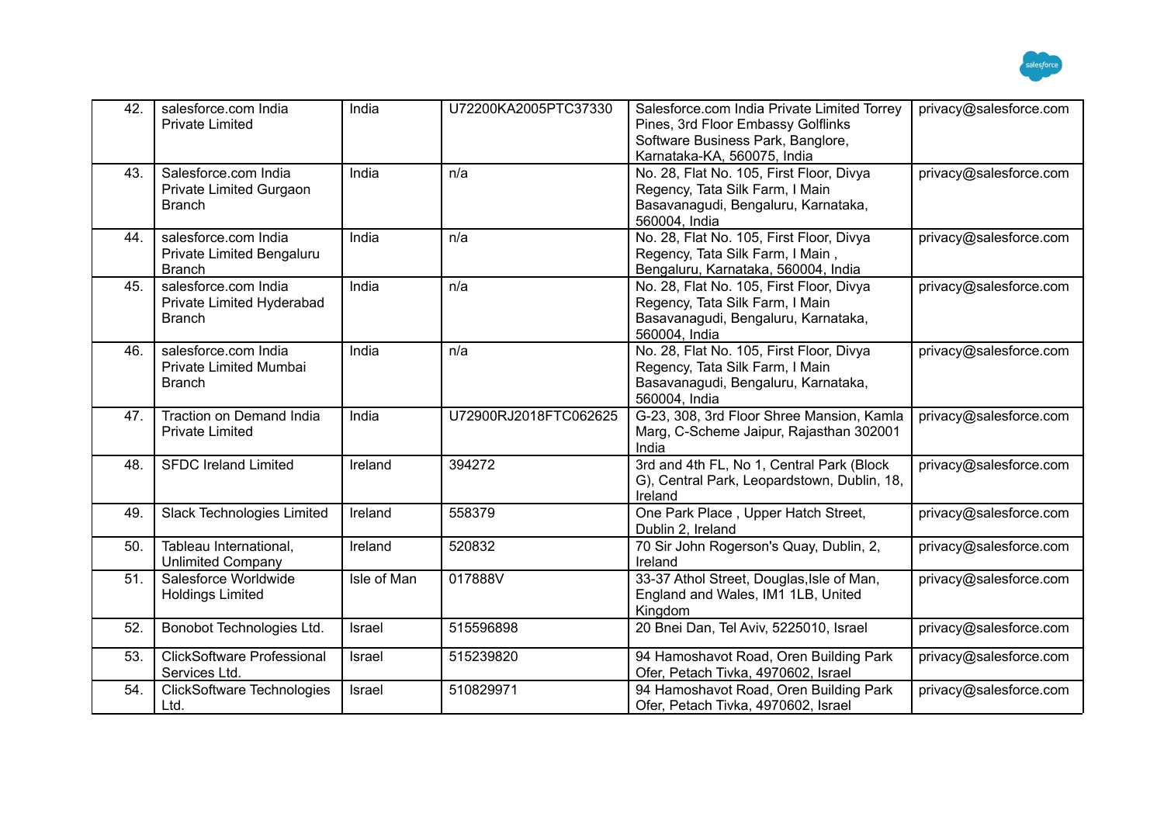

| 42. | salesforce.com India<br><b>Private Limited</b>                     | India       | U72200KA2005PTC37330  | Salesforce.com India Private Limited Torrey<br>Pines, 3rd Floor Embassy Golflinks<br>Software Business Park, Banglore,<br>Karnataka-KA, 560075, India | privacy@salesforce.com |
|-----|--------------------------------------------------------------------|-------------|-----------------------|-------------------------------------------------------------------------------------------------------------------------------------------------------|------------------------|
| 43. | Salesforce.com India<br>Private Limited Gurgaon<br><b>Branch</b>   | India       | n/a                   | No. 28, Flat No. 105, First Floor, Divya<br>Regency, Tata Silk Farm, I Main<br>Basavanagudi, Bengaluru, Karnataka,<br>560004, India                   | privacy@salesforce.com |
| 44. | salesforce.com India<br>Private Limited Bengaluru<br><b>Branch</b> | India       | n/a                   | No. 28, Flat No. 105, First Floor, Divya<br>Regency, Tata Silk Farm, I Main,<br>Bengaluru, Karnataka, 560004, India                                   | privacy@salesforce.com |
| 45. | salesforce.com India<br>Private Limited Hyderabad<br><b>Branch</b> | India       | n/a                   | No. 28, Flat No. 105, First Floor, Divya<br>Regency, Tata Silk Farm, I Main<br>Basavanagudi, Bengaluru, Karnataka,<br>560004, India                   | privacy@salesforce.com |
| 46. | salesforce.com India<br>Private Limited Mumbai<br><b>Branch</b>    | India       | n/a                   | No. 28, Flat No. 105, First Floor, Divya<br>Regency, Tata Silk Farm, I Main<br>Basavanagudi, Bengaluru, Karnataka,<br>560004, India                   | privacy@salesforce.com |
| 47. | Traction on Demand India<br><b>Private Limited</b>                 | India       | U72900RJ2018FTC062625 | G-23, 308, 3rd Floor Shree Mansion, Kamla<br>Marg, C-Scheme Jaipur, Rajasthan 302001<br>India                                                         | privacy@salesforce.com |
| 48. | <b>SFDC Ireland Limited</b>                                        | Ireland     | 394272                | 3rd and 4th FL, No 1, Central Park (Block<br>G), Central Park, Leopardstown, Dublin, 18,<br>Ireland                                                   | privacy@salesforce.com |
| 49. | <b>Slack Technologies Limited</b>                                  | Ireland     | 558379                | One Park Place, Upper Hatch Street,<br>Dublin 2, Ireland                                                                                              | privacy@salesforce.com |
| 50. | Tableau International,<br><b>Unlimited Company</b>                 | Ireland     | 520832                | 70 Sir John Rogerson's Quay, Dublin, 2,<br>Ireland                                                                                                    | privacy@salesforce.com |
| 51. | Salesforce Worldwide<br><b>Holdings Limited</b>                    | Isle of Man | 017888V               | 33-37 Athol Street, Douglas, Isle of Man,<br>England and Wales, IM1 1LB, United<br>Kingdom                                                            | privacy@salesforce.com |
| 52. | Bonobot Technologies Ltd.                                          | Israel      | 515596898             | 20 Bnei Dan, Tel Aviv, 5225010, Israel                                                                                                                | privacy@salesforce.com |
| 53. | <b>ClickSoftware Professional</b><br>Services Ltd.                 | Israel      | 515239820             | 94 Hamoshavot Road, Oren Building Park<br>Ofer, Petach Tivka, 4970602, Israel                                                                         | privacy@salesforce.com |
| 54. | <b>ClickSoftware Technologies</b><br>Ltd.                          | Israel      | 510829971             | 94 Hamoshavot Road, Oren Building Park<br>Ofer, Petach Tivka, 4970602, Israel                                                                         | privacy@salesforce.com |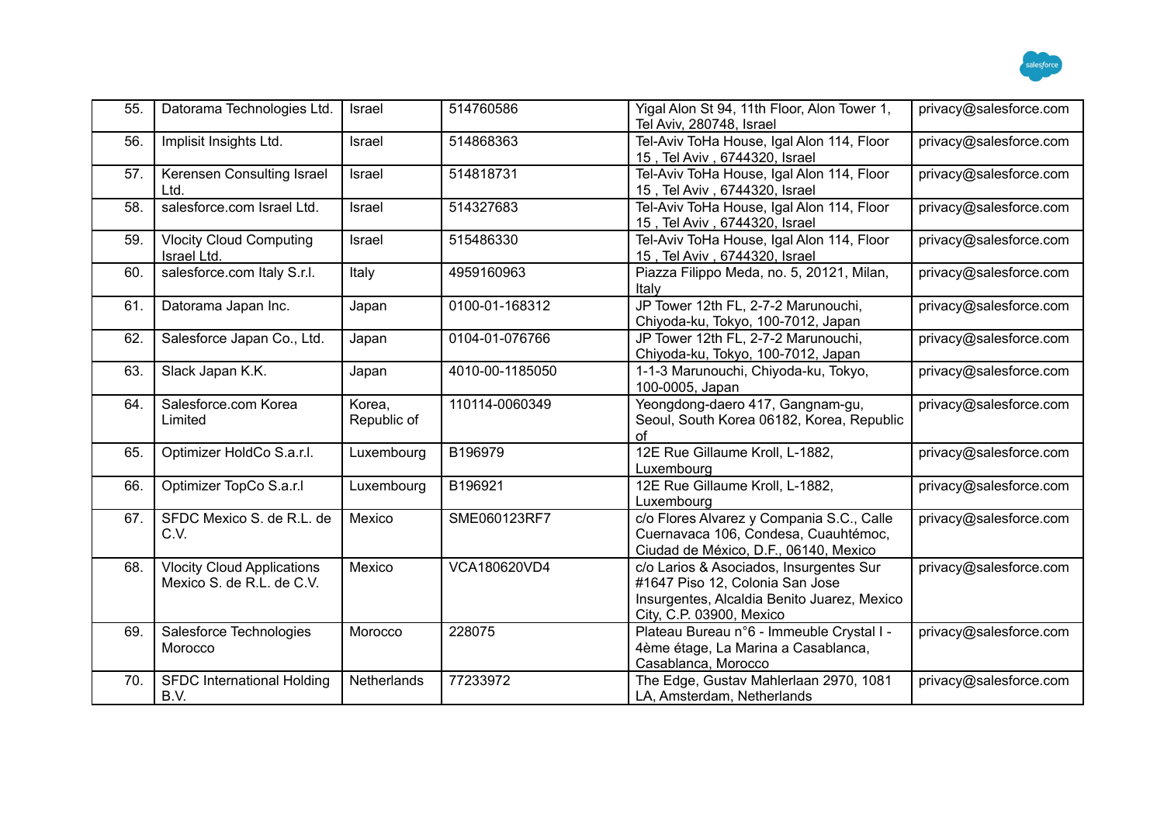

| 55. | Datorama Technologies Ltd.                                     | Israel                | 514760586       | Yigal Alon St 94, 11th Floor, Alon Tower 1,<br>Tel Aviv, 280748, Israel                                                                               | privacy@salesforce.com |
|-----|----------------------------------------------------------------|-----------------------|-----------------|-------------------------------------------------------------------------------------------------------------------------------------------------------|------------------------|
| 56. | Implisit Insights Ltd.                                         | Israel                | 514868363       | Tel-Aviv ToHa House, Igal Alon 114, Floor<br>15, Tel Aviv, 6744320, Israel                                                                            | privacy@salesforce.com |
| 57. | Kerensen Consulting Israel<br>Ltd.                             | Israel                | 514818731       | Tel-Aviv ToHa House, Igal Alon 114, Floor<br>15, Tel Aviv, 6744320, Israel                                                                            | privacy@salesforce.com |
| 58. | salesforce.com Israel Ltd.                                     | Israel                | 514327683       | Tel-Aviv ToHa House, Igal Alon 114, Floor<br>15, Tel Aviv, 6744320, Israel                                                                            | privacy@salesforce.com |
| 59. | <b>Vlocity Cloud Computing</b><br>Israel Ltd.                  | Israel                | 515486330       | Tel-Aviv ToHa House, Igal Alon 114, Floor<br>15, Tel Aviv, 6744320, Israel                                                                            | privacy@salesforce.com |
| 60. | salesforce.com Italy S.r.l.                                    | Italy                 | 4959160963      | Piazza Filippo Meda, no. 5, 20121, Milan,<br>Italy                                                                                                    | privacy@salesforce.com |
| 61. | Datorama Japan Inc.                                            | Japan                 | 0100-01-168312  | JP Tower 12th FL, 2-7-2 Marunouchi,<br>Chiyoda-ku, Tokyo, 100-7012, Japan                                                                             | privacy@salesforce.com |
| 62. | Salesforce Japan Co., Ltd.                                     | Japan                 | 0104-01-076766  | JP Tower 12th FL, 2-7-2 Marunouchi,<br>Chiyoda-ku, Tokyo, 100-7012, Japan                                                                             | privacy@salesforce.com |
| 63. | Slack Japan K.K.                                               | Japan                 | 4010-00-1185050 | 1-1-3 Marunouchi, Chiyoda-ku, Tokyo,<br>100-0005, Japan                                                                                               | privacy@salesforce.com |
| 64. | Salesforce.com Korea<br>Limited                                | Korea,<br>Republic of | 110114-0060349  | Yeongdong-daero 417, Gangnam-gu,<br>Seoul, South Korea 06182, Korea, Republic<br>of                                                                   | privacy@salesforce.com |
| 65. | Optimizer HoldCo S.a.r.l.                                      | Luxembourg            | B196979         | 12E Rue Gillaume Kroll, L-1882,<br>Luxembourg                                                                                                         | privacy@salesforce.com |
| 66. | Optimizer TopCo S.a.r.I                                        | Luxembourg            | B196921         | 12E Rue Gillaume Kroll, L-1882,<br>Luxembourg                                                                                                         | privacy@salesforce.com |
| 67. | SFDC Mexico S. de R.L. de<br>C.V.                              | Mexico                | SME060123RF7    | c/o Flores Alvarez y Compania S.C., Calle<br>Cuernavaca 106, Condesa, Cuauhtémoc,<br>Ciudad de México, D.F., 06140, Mexico                            | privacy@salesforce.com |
| 68. | <b>Vlocity Cloud Applications</b><br>Mexico S. de R.L. de C.V. | Mexico                | VCA180620VD4    | c/o Larios & Asociados, Insurgentes Sur<br>#1647 Piso 12, Colonia San Jose<br>Insurgentes, Alcaldia Benito Juarez, Mexico<br>City, C.P. 03900, Mexico | privacy@salesforce.com |
| 69. | Salesforce Technologies<br>Morocco                             | Morocco               | 228075          | Plateau Bureau n°6 - Immeuble Crystal I -<br>4ème étage, La Marina a Casablanca,<br>Casablanca, Morocco                                               | privacy@salesforce.com |
| 70. | <b>SFDC International Holding</b><br>B.V.                      | Netherlands           | 77233972        | The Edge, Gustav Mahlerlaan 2970, 1081<br>LA, Amsterdam, Netherlands                                                                                  | privacy@salesforce.com |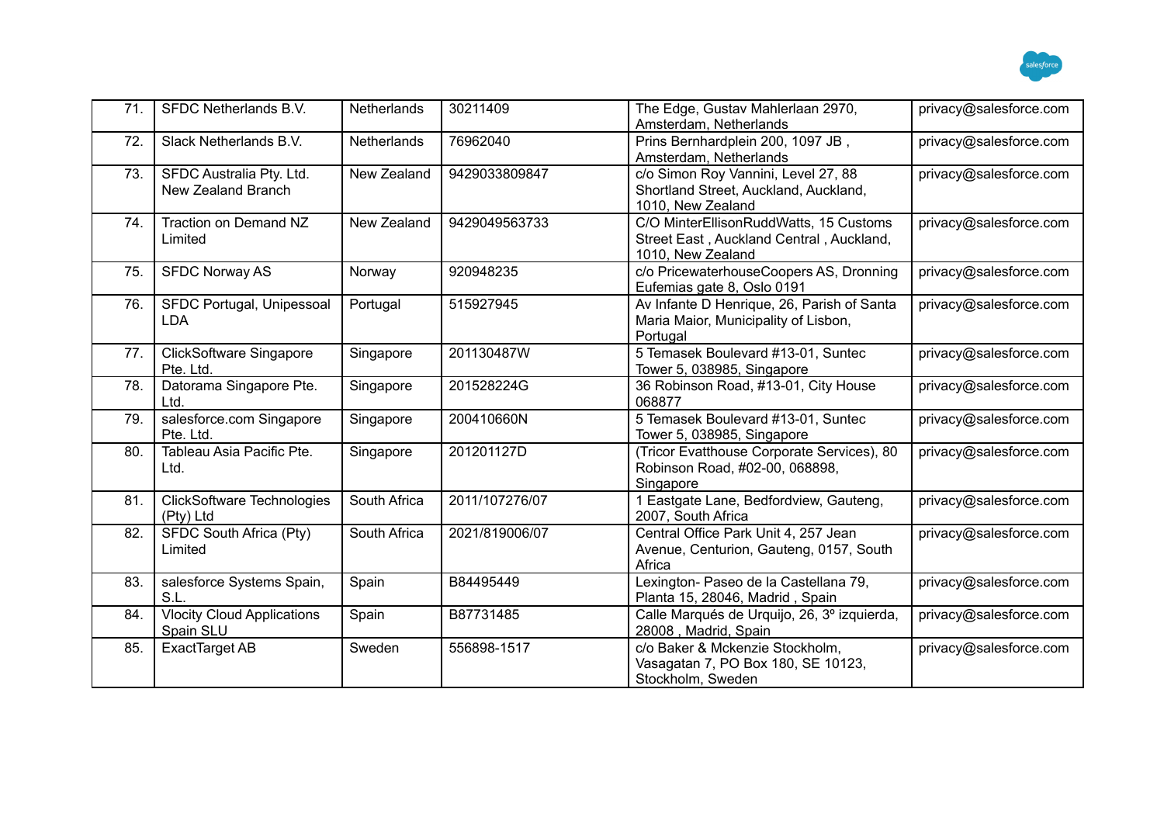

| 71. | SFDC Netherlands B.V.                          | Netherlands  | 30211409       | The Edge, Gustav Mahlerlaan 2970,<br>Amsterdam, Netherlands                                             | privacy@salesforce.com |
|-----|------------------------------------------------|--------------|----------------|---------------------------------------------------------------------------------------------------------|------------------------|
| 72. | Slack Netherlands B.V.                         | Netherlands  | 76962040       | Prins Bernhardplein 200, 1097 JB,<br>Amsterdam, Netherlands                                             | privacy@salesforce.com |
| 73. | SFDC Australia Pty. Ltd.<br>New Zealand Branch | New Zealand  | 9429033809847  | c/o Simon Roy Vannini, Level 27, 88<br>Shortland Street, Auckland, Auckland,<br>1010, New Zealand       | privacy@salesforce.com |
| 74. | Traction on Demand NZ<br>Limited               | New Zealand  | 9429049563733  | C/O MinterEllisonRuddWatts, 15 Customs<br>Street East, Auckland Central, Auckland,<br>1010, New Zealand | privacy@salesforce.com |
| 75. | <b>SFDC Norway AS</b>                          | Norway       | 920948235      | c/o PricewaterhouseCoopers AS, Dronning<br>Eufemias gate 8, Oslo 0191                                   | privacy@salesforce.com |
| 76. | SFDC Portugal, Unipessoal<br><b>LDA</b>        | Portugal     | 515927945      | Av Infante D Henrique, 26, Parish of Santa<br>Maria Maior, Municipality of Lisbon,<br>Portugal          | privacy@salesforce.com |
| 77. | <b>ClickSoftware Singapore</b><br>Pte. Ltd.    | Singapore    | 201130487W     | 5 Temasek Boulevard #13-01, Suntec<br>Tower 5, 038985, Singapore                                        | privacy@salesforce.com |
| 78. | Datorama Singapore Pte.<br>Ltd.                | Singapore    | 201528224G     | 36 Robinson Road, #13-01, City House<br>068877                                                          | privacy@salesforce.com |
| 79. | salesforce.com Singapore<br>Pte. Ltd.          | Singapore    | 200410660N     | 5 Temasek Boulevard #13-01, Suntec<br>Tower 5, 038985, Singapore                                        | privacy@salesforce.com |
| 80. | Tableau Asia Pacific Pte.<br>Ltd.              | Singapore    | 201201127D     | (Tricor Evatthouse Corporate Services), 80<br>Robinson Road, #02-00, 068898,<br>Singapore               | privacy@salesforce.com |
| 81. | <b>ClickSoftware Technologies</b><br>(Pty) Ltd | South Africa | 2011/107276/07 | 1 Eastgate Lane, Bedfordview, Gauteng,<br>2007, South Africa                                            | privacy@salesforce.com |
| 82. | SFDC South Africa (Pty)<br>Limited             | South Africa | 2021/819006/07 | Central Office Park Unit 4, 257 Jean<br>Avenue, Centurion, Gauteng, 0157, South<br>Africa               | privacy@salesforce.com |
| 83. | salesforce Systems Spain,<br>S.L.              | Spain        | B84495449      | Lexington- Paseo de la Castellana 79,<br>Planta 15, 28046, Madrid, Spain                                | privacy@salesforce.com |
| 84. | <b>Vlocity Cloud Applications</b><br>Spain SLU | Spain        | B87731485      | Calle Marqués de Urquijo, 26, 3º izquierda,<br>28008, Madrid, Spain                                     | privacy@salesforce.com |
| 85. | ExactTarget AB                                 | Sweden       | 556898-1517    | c/o Baker & Mckenzie Stockholm,<br>Vasagatan 7, PO Box 180, SE 10123,<br>Stockholm, Sweden              | privacy@salesforce.com |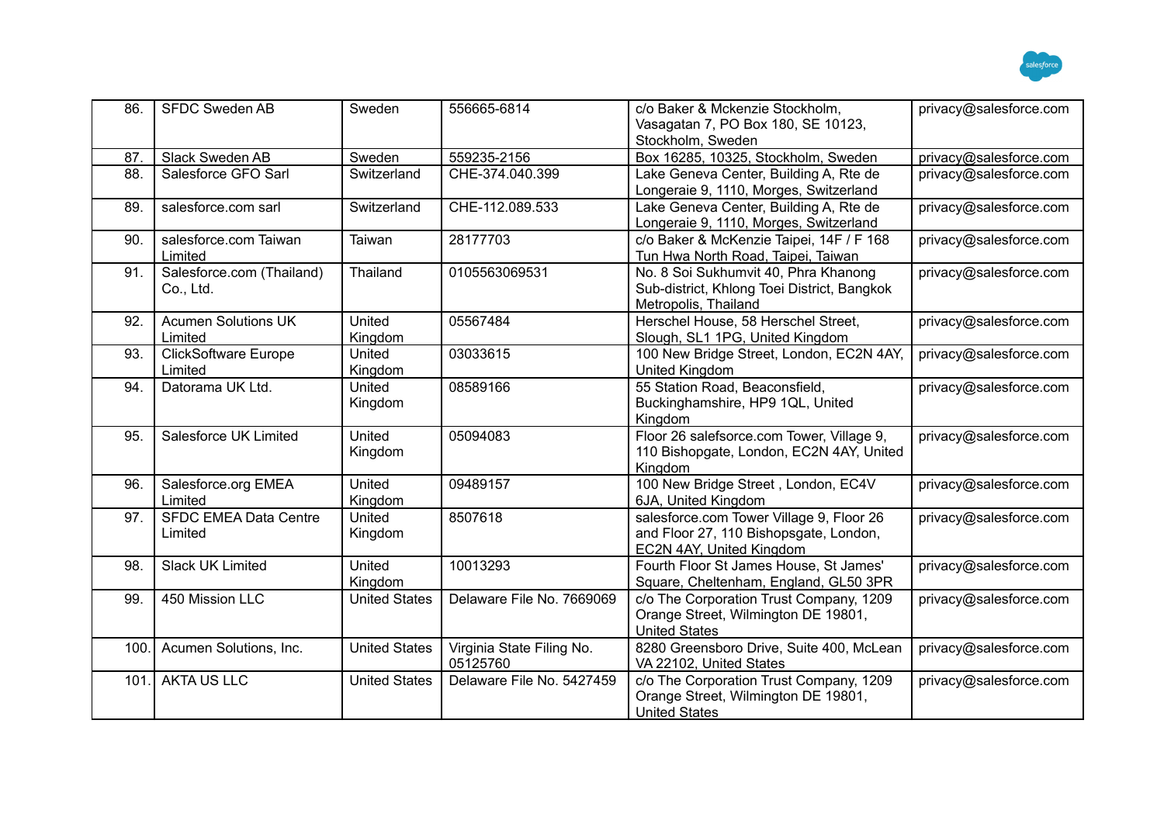

| 86.  | <b>SFDC Sweden AB</b>                   | Sweden               | 556665-6814                           | c/o Baker & Mckenzie Stockholm,<br>Vasagatan 7, PO Box 180, SE 10123,<br>Stockholm, Sweden                     | privacy@salesforce.com |
|------|-----------------------------------------|----------------------|---------------------------------------|----------------------------------------------------------------------------------------------------------------|------------------------|
| 87.  | Slack Sweden AB                         | Sweden               | 559235-2156                           | Box 16285, 10325, Stockholm, Sweden                                                                            | privacy@salesforce.com |
| 88.  | Salesforce GFO Sarl                     | Switzerland          | CHE-374.040.399                       | Lake Geneva Center, Building A, Rte de<br>Longeraie 9, 1110, Morges, Switzerland                               | privacy@salesforce.com |
| 89.  | salesforce.com sarl                     | Switzerland          | CHE-112.089.533                       | Lake Geneva Center, Building A, Rte de<br>Longeraie 9, 1110, Morges, Switzerland                               | privacy@salesforce.com |
| 90.  | salesforce.com Taiwan<br>Limited        | Taiwan               | 28177703                              | c/o Baker & McKenzie Taipei, 14F / F 168<br>Tun Hwa North Road, Taipei, Taiwan                                 | privacy@salesforce.com |
| 91.  | Salesforce.com (Thailand)<br>Co., Ltd.  | Thailand             | 0105563069531                         | No. 8 Soi Sukhumvit 40, Phra Khanong<br>Sub-district, Khlong Toei District, Bangkok<br>Metropolis, Thailand    | privacy@salesforce.com |
| 92.  | <b>Acumen Solutions UK</b><br>Limited   | United<br>Kingdom    | 05567484                              | Herschel House, 58 Herschel Street,<br>Slough, SL1 1PG, United Kingdom                                         | privacy@salesforce.com |
| 93.  | <b>ClickSoftware Europe</b><br>Limited  | United<br>Kingdom    | 03033615                              | 100 New Bridge Street, London, EC2N 4AY,<br><b>United Kingdom</b>                                              | privacy@salesforce.com |
| 94.  | Datorama UK Ltd.                        | United<br>Kingdom    | 08589166                              | 55 Station Road, Beaconsfield,<br>Buckinghamshire, HP9 1QL, United<br>Kingdom                                  | privacy@salesforce.com |
| 95.  | Salesforce UK Limited                   | United<br>Kingdom    | 05094083                              | Floor 26 salefsorce.com Tower, Village 9,<br>110 Bishopgate, London, EC2N 4AY, United<br>Kingdom               | privacy@salesforce.com |
| 96.  | Salesforce.org EMEA<br>Limited          | United<br>Kingdom    | 09489157                              | 100 New Bridge Street, London, EC4V<br>6JA, United Kingdom                                                     | privacy@salesforce.com |
| 97.  | <b>SFDC EMEA Data Centre</b><br>Limited | United<br>Kingdom    | 8507618                               | salesforce.com Tower Village 9, Floor 26<br>and Floor 27, 110 Bishopsgate, London,<br>EC2N 4AY, United Kingdom | privacy@salesforce.com |
| 98.  | <b>Slack UK Limited</b>                 | United<br>Kingdom    | 10013293                              | Fourth Floor St James House, St James'<br>Square, Cheltenham, England, GL50 3PR                                | privacy@salesforce.com |
| 99.  | 450 Mission LLC                         | <b>United States</b> | Delaware File No. 7669069             | c/o The Corporation Trust Company, 1209<br>Orange Street, Wilmington DE 19801,<br><b>United States</b>         | privacy@salesforce.com |
| 100. | Acumen Solutions, Inc.                  | <b>United States</b> | Virginia State Filing No.<br>05125760 | 8280 Greensboro Drive, Suite 400, McLean<br>VA 22102, United States                                            | privacy@salesforce.com |
| 101. | <b>AKTA US LLC</b>                      | <b>United States</b> | Delaware File No. 5427459             | c/o The Corporation Trust Company, 1209<br>Orange Street, Wilmington DE 19801,<br><b>United States</b>         | privacy@salesforce.com |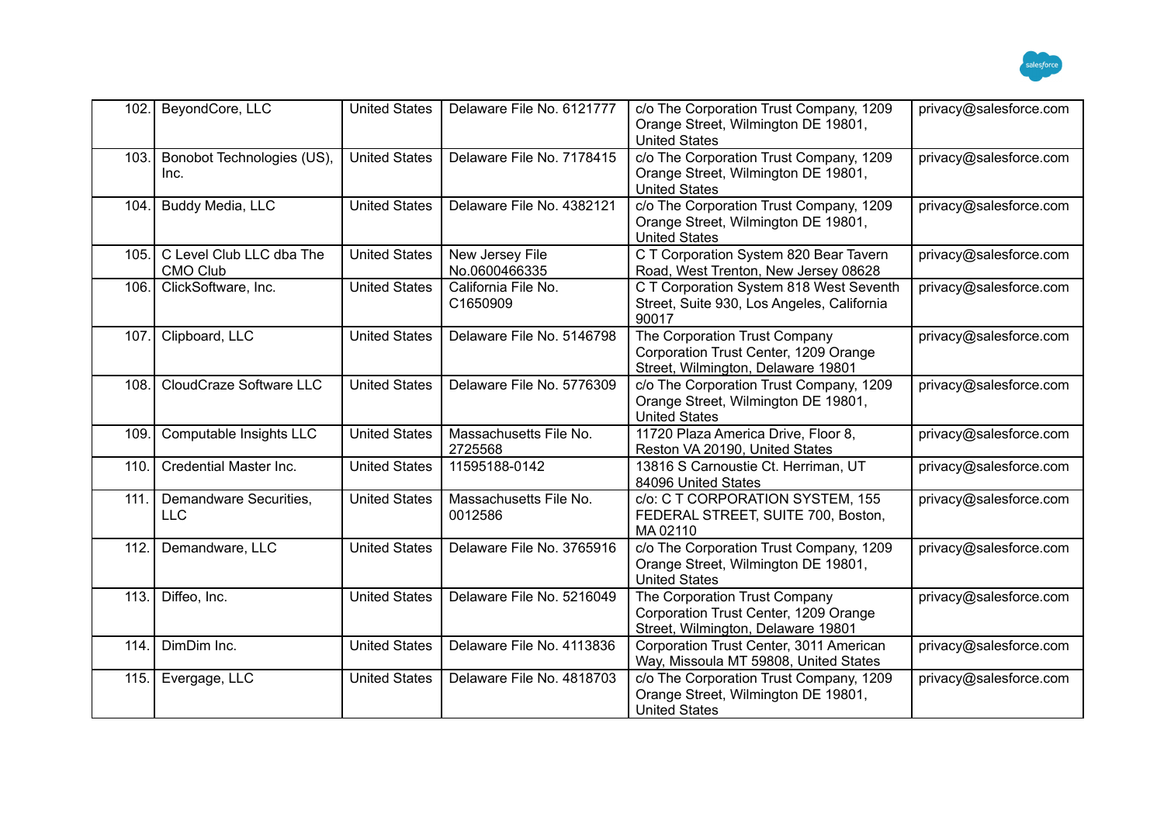

| 102. | BeyondCore, LLC                             | <b>United States</b> | Delaware File No. 6121777         | c/o The Corporation Trust Company, 1209<br>Orange Street, Wilmington DE 19801,<br><b>United States</b>       | privacy@salesforce.com |
|------|---------------------------------------------|----------------------|-----------------------------------|--------------------------------------------------------------------------------------------------------------|------------------------|
| 103. | Bonobot Technologies (US),<br>Inc.          | <b>United States</b> | Delaware File No. 7178415         | c/o The Corporation Trust Company, 1209<br>Orange Street, Wilmington DE 19801,<br><b>United States</b>       | privacy@salesforce.com |
| 104. | Buddy Media, LLC                            | <b>United States</b> | Delaware File No. 4382121         | c/o The Corporation Trust Company, 1209<br>Orange Street, Wilmington DE 19801,<br><b>United States</b>       | privacy@salesforce.com |
| 105. | C Level Club LLC dba The<br><b>CMO Club</b> | <b>United States</b> | New Jersey File<br>No.0600466335  | C T Corporation System 820 Bear Tavern<br>Road, West Trenton, New Jersey 08628                               | privacy@salesforce.com |
| 106. | ClickSoftware, Inc.                         | <b>United States</b> | California File No.<br>C1650909   | C T Corporation System 818 West Seventh<br>Street, Suite 930, Los Angeles, California<br>90017               | privacy@salesforce.com |
| 107. | Clipboard, LLC                              | <b>United States</b> | Delaware File No. 5146798         | The Corporation Trust Company<br>Corporation Trust Center, 1209 Orange<br>Street, Wilmington, Delaware 19801 | privacy@salesforce.com |
| 108. | CloudCraze Software LLC                     | <b>United States</b> | Delaware File No. 5776309         | c/o The Corporation Trust Company, 1209<br>Orange Street, Wilmington DE 19801,<br><b>United States</b>       | privacy@salesforce.com |
| 109. | Computable Insights LLC                     | <b>United States</b> | Massachusetts File No.<br>2725568 | 11720 Plaza America Drive, Floor 8,<br>Reston VA 20190, United States                                        | privacy@salesforce.com |
| 110  | Credential Master Inc.                      | <b>United States</b> | 11595188-0142                     | 13816 S Carnoustie Ct. Herriman, UT<br>84096 United States                                                   | privacy@salesforce.com |
| 111. | Demandware Securities,<br><b>LLC</b>        | <b>United States</b> | Massachusetts File No.<br>0012586 | c/o: C T CORPORATION SYSTEM, 155<br>FEDERAL STREET, SUITE 700, Boston,<br>MA02110                            | privacy@salesforce.com |
| 112. | Demandware, LLC                             | <b>United States</b> | Delaware File No. 3765916         | c/o The Corporation Trust Company, 1209<br>Orange Street, Wilmington DE 19801,<br><b>United States</b>       | privacy@salesforce.com |
| 113. | Diffeo, Inc.                                | <b>United States</b> | Delaware File No. 5216049         | The Corporation Trust Company<br>Corporation Trust Center, 1209 Orange<br>Street, Wilmington, Delaware 19801 | privacy@salesforce.com |
| 114. | DimDim Inc.                                 | <b>United States</b> | Delaware File No. 4113836         | Corporation Trust Center, 3011 American<br>Way, Missoula MT 59808, United States                             | privacy@salesforce.com |
| 115. | Evergage, LLC                               | <b>United States</b> | Delaware File No. 4818703         | c/o The Corporation Trust Company, 1209<br>Orange Street, Wilmington DE 19801,<br><b>United States</b>       | privacy@salesforce.com |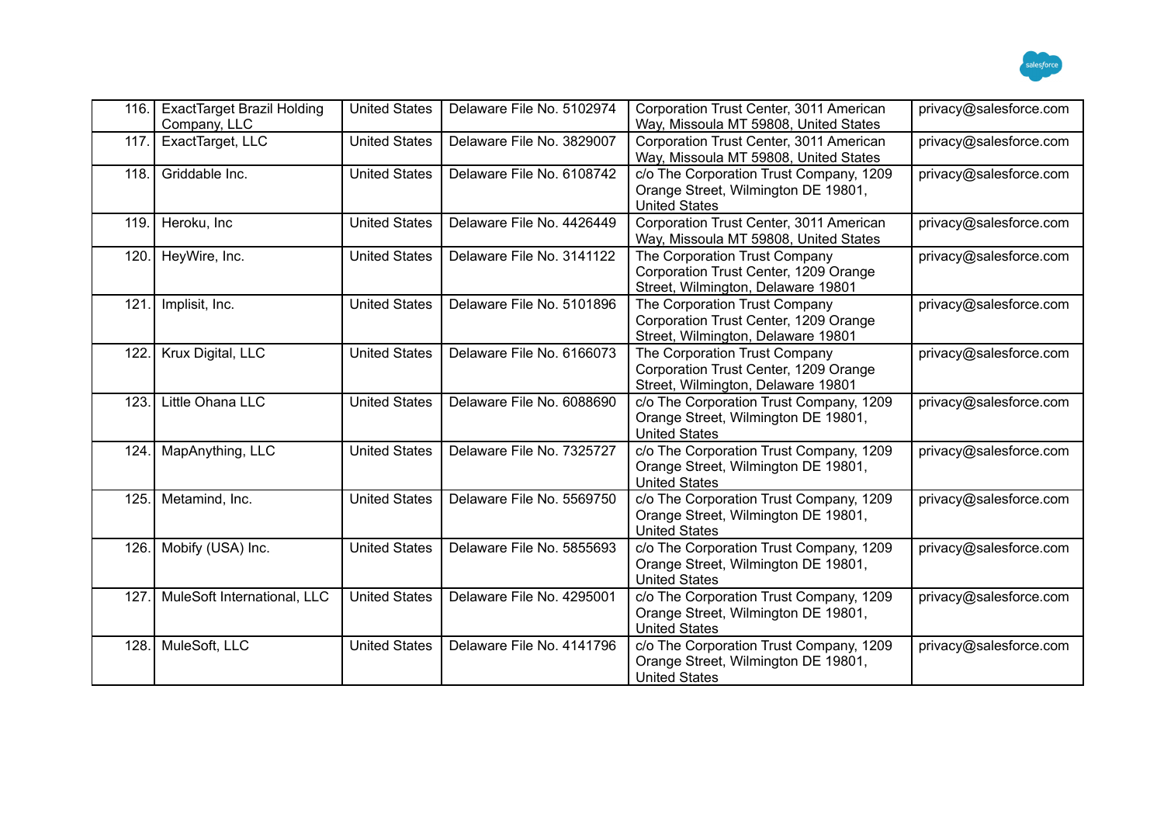

| 116. | <b>ExactTarget Brazil Holding</b><br>Company, LLC | <b>United States</b> | Delaware File No. 5102974 | Corporation Trust Center, 3011 American<br>Way, Missoula MT 59808, United States                             | privacy@salesforce.com |
|------|---------------------------------------------------|----------------------|---------------------------|--------------------------------------------------------------------------------------------------------------|------------------------|
| 117. | ExactTarget, LLC                                  | <b>United States</b> | Delaware File No. 3829007 | Corporation Trust Center, 3011 American<br>Way, Missoula MT 59808, United States                             | privacy@salesforce.com |
| 118. | Griddable Inc.                                    | <b>United States</b> | Delaware File No. 6108742 | c/o The Corporation Trust Company, 1209<br>Orange Street, Wilmington DE 19801,<br><b>United States</b>       | privacy@salesforce.com |
| 119. | Heroku, Inc                                       | <b>United States</b> | Delaware File No. 4426449 | Corporation Trust Center, 3011 American<br>Way, Missoula MT 59808, United States                             | privacy@salesforce.com |
| 120. | HeyWire, Inc.                                     | <b>United States</b> | Delaware File No. 3141122 | The Corporation Trust Company<br>Corporation Trust Center, 1209 Orange<br>Street, Wilmington, Delaware 19801 | privacy@salesforce.com |
| 121. | Implisit, Inc.                                    | <b>United States</b> | Delaware File No. 5101896 | The Corporation Trust Company<br>Corporation Trust Center, 1209 Orange<br>Street, Wilmington, Delaware 19801 | privacy@salesforce.com |
| 122. | Krux Digital, LLC                                 | <b>United States</b> | Delaware File No. 6166073 | The Corporation Trust Company<br>Corporation Trust Center, 1209 Orange<br>Street, Wilmington, Delaware 19801 | privacy@salesforce.com |
| 123. | Little Ohana LLC                                  | <b>United States</b> | Delaware File No. 6088690 | c/o The Corporation Trust Company, 1209<br>Orange Street, Wilmington DE 19801,<br><b>United States</b>       | privacy@salesforce.com |
| 124. | MapAnything, LLC                                  | <b>United States</b> | Delaware File No. 7325727 | c/o The Corporation Trust Company, 1209<br>Orange Street, Wilmington DE 19801,<br><b>United States</b>       | privacy@salesforce.com |
| 125. | Metamind, Inc.                                    | <b>United States</b> | Delaware File No. 5569750 | c/o The Corporation Trust Company, 1209<br>Orange Street, Wilmington DE 19801,<br><b>United States</b>       | privacy@salesforce.com |
| 126. | Mobify (USA) Inc.                                 | <b>United States</b> | Delaware File No. 5855693 | c/o The Corporation Trust Company, 1209<br>Orange Street, Wilmington DE 19801,<br><b>United States</b>       | privacy@salesforce.com |
| 127. | MuleSoft International, LLC                       | <b>United States</b> | Delaware File No. 4295001 | c/o The Corporation Trust Company, 1209<br>Orange Street, Wilmington DE 19801,<br><b>United States</b>       | privacy@salesforce.com |
| 128. | MuleSoft, LLC                                     | <b>United States</b> | Delaware File No. 4141796 | c/o The Corporation Trust Company, 1209<br>Orange Street, Wilmington DE 19801,<br><b>United States</b>       | privacy@salesforce.com |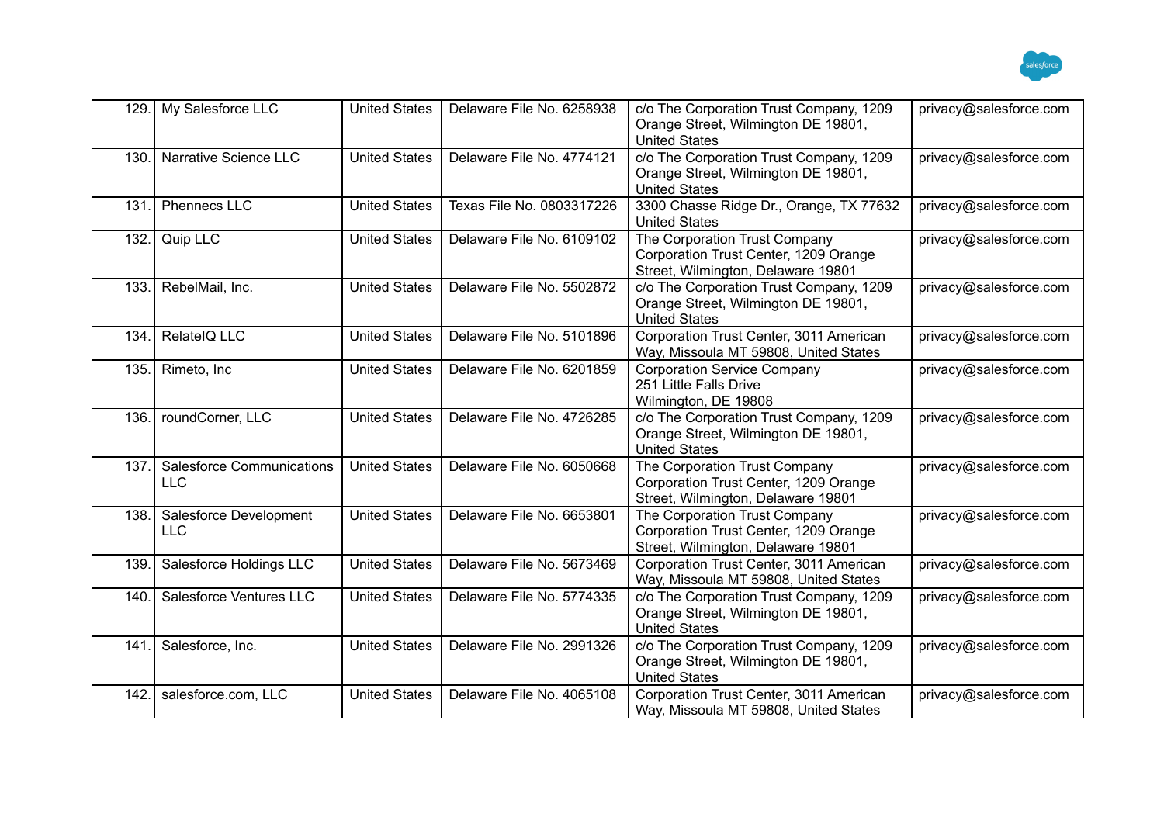

| 129. | My Salesforce LLC                              | <b>United States</b> | Delaware File No. 6258938 | c/o The Corporation Trust Company, 1209<br>Orange Street, Wilmington DE 19801,<br><b>United States</b>       | privacy@salesforce.com |
|------|------------------------------------------------|----------------------|---------------------------|--------------------------------------------------------------------------------------------------------------|------------------------|
| 130. | Narrative Science LLC                          | <b>United States</b> | Delaware File No. 4774121 | c/o The Corporation Trust Company, 1209<br>Orange Street, Wilmington DE 19801,<br><b>United States</b>       | privacy@salesforce.com |
| 131. | <b>Phennecs LLC</b>                            | <b>United States</b> | Texas File No. 0803317226 | 3300 Chasse Ridge Dr., Orange, TX 77632<br><b>United States</b>                                              | privacy@salesforce.com |
| 132. | Quip LLC                                       | <b>United States</b> | Delaware File No. 6109102 | The Corporation Trust Company<br>Corporation Trust Center, 1209 Orange<br>Street, Wilmington, Delaware 19801 | privacy@salesforce.com |
| 133. | RebelMail, Inc.                                | <b>United States</b> | Delaware File No. 5502872 | c/o The Corporation Trust Company, 1209<br>Orange Street, Wilmington DE 19801,<br><b>United States</b>       | privacy@salesforce.com |
| 134. | RelateIQ LLC                                   | <b>United States</b> | Delaware File No. 5101896 | Corporation Trust Center, 3011 American<br>Way, Missoula MT 59808, United States                             | privacy@salesforce.com |
| 135. | Rimeto, Inc.                                   | <b>United States</b> | Delaware File No. 6201859 | <b>Corporation Service Company</b><br>251 Little Falls Drive<br>Wilmington, DE 19808                         | privacy@salesforce.com |
| 136. | roundCorner, LLC                               | <b>United States</b> | Delaware File No. 4726285 | c/o The Corporation Trust Company, 1209<br>Orange Street, Wilmington DE 19801,<br><b>United States</b>       | privacy@salesforce.com |
| 137. | <b>Salesforce Communications</b><br><b>LLC</b> | <b>United States</b> | Delaware File No. 6050668 | The Corporation Trust Company<br>Corporation Trust Center, 1209 Orange<br>Street, Wilmington, Delaware 19801 | privacy@salesforce.com |
| 138. | Salesforce Development<br><b>LLC</b>           | <b>United States</b> | Delaware File No. 6653801 | The Corporation Trust Company<br>Corporation Trust Center, 1209 Orange<br>Street, Wilmington, Delaware 19801 | privacy@salesforce.com |
| 139. | Salesforce Holdings LLC                        | <b>United States</b> | Delaware File No. 5673469 | Corporation Trust Center, 3011 American<br>Way, Missoula MT 59808, United States                             | privacy@salesforce.com |
| 140. | Salesforce Ventures LLC                        | <b>United States</b> | Delaware File No. 5774335 | c/o The Corporation Trust Company, 1209<br>Orange Street, Wilmington DE 19801,<br><b>United States</b>       | privacy@salesforce.com |
| 141. | Salesforce, Inc.                               | <b>United States</b> | Delaware File No. 2991326 | c/o The Corporation Trust Company, 1209<br>Orange Street, Wilmington DE 19801,<br><b>United States</b>       | privacy@salesforce.com |
| 142. | salesforce.com, LLC                            | <b>United States</b> | Delaware File No. 4065108 | Corporation Trust Center, 3011 American<br>Way, Missoula MT 59808, United States                             | privacy@salesforce.com |